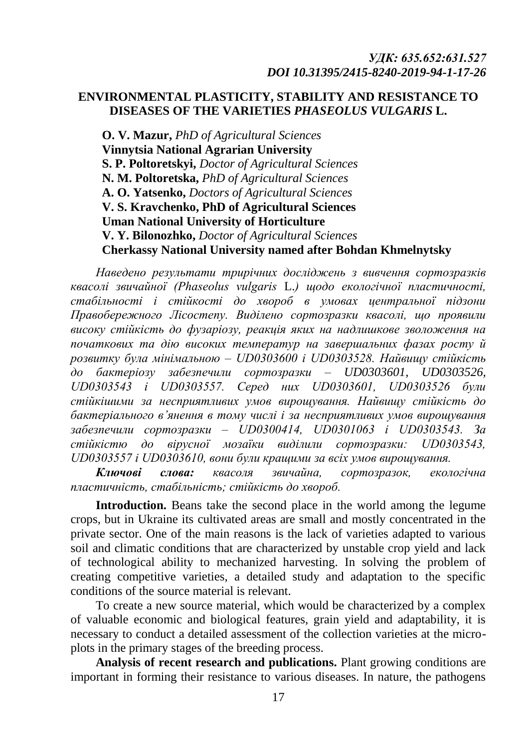# **ENVIRONMENTAL PLASTICITY, STABILITY AND RESISTANCE TO DISEASES OF THE VARIETIES** *PHASEOLUS VULGARIS* **L.**

**O. V. Mazur,** *PhD of Agricultural Sciences* **Vinnytsia National Agrarian University S. P. Poltoretskyi,** *Doctor of Agricultural Sciences* **N. M. Poltoretska,** *PhD of Agricultural Sciences* **A. O. Yatsenko,** *Doctors of Agricultural Sciences* **V. S. Kravchenko, PhD of Agricultural Sciences Uman National University of Horticulture V. Y. Bilonozhko,** *Doctor of Agricultural Sciences* **Cherkassy National University named after Bohdan Khmelnytsky**

*Наведено результати трирічних досліджень з вивчення сортозразків квасолі звичайної (Phaseolus vulgaris* L.*) щодо екологічної пластичності, стабільності і стійкості до хвороб в умовах центральної підзони Правобережного Лісостепу. Виділено сортозразки квасолі, що проявили високу стійкість до фузаріозу, реакція яких на надлишкове зволоження на початкових та дію високих температур на завершальних фазах росту й розвитку була мінімальною – UD0303600 і UD0303528. Найвищу стійкість до бактеріозу забезпечили сортозразки – UD0303601, UD0303526, UD0303543 і UD0303557. Серед них UD0303601, UD0303526 були стійкішими за несприятливих умов вирощування. Найвищу стійкість до бактеріального в'янення в тому числі і за несприятливих умов вирощування забезпечили сортозразки – UD0300414, UD0301063 і UD0303543. За стійкістю до вірусної мозаїки виділили сортозразки: UD0303543, UD0303557 і UD0303610, вони були кращими за всіх умов вирощування.*

*Ключові слова: квасоля звичайна, сортозразок, екологічна пластичність, стабільність; стійкість до хвороб.*

**Introduction.** Beans take the second place in the world among the legume crops, but in Ukraine its cultivated areas are small and mostly concentrated in the private sector. One of the main reasons is the lack of varieties adapted to various soil and climatic conditions that are characterized by unstable crop yield and lack of technological ability to mechanized harvesting. In solving the problem of creating competitive varieties, a detailed study and adaptation to the specific conditions of the source material is relevant.

To create a new source material, which would be characterized by a complex of valuable economic and biological features, grain yield and adaptability, it is necessary to conduct a detailed assessment of the collection varieties at the microplots in the primary stages of the breeding process.

**Analysis of recent research and publications.** Plant growing conditions are important in forming their resistance to various diseases. In nature, the pathogens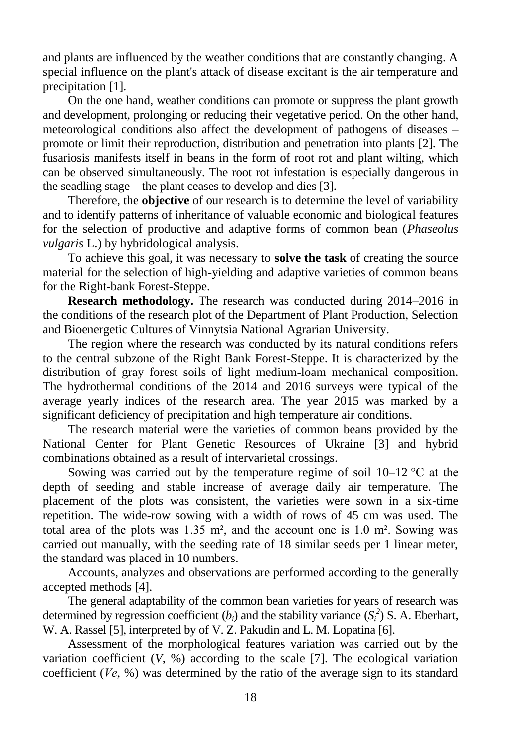and plants are influenced by the weather conditions that are constantly changing. A special influence on the plant's attack of disease excitant is the air temperature and precipitation [1].

On the one hand, weather conditions can promote or suppress the plant growth and development, prolonging or reducing their vegetative period. On the other hand, meteorological conditions also affect the development of pathogens of diseases – promote or limit their reproduction, distribution and penetration into plants [2]. The fusariosis manifests itself in beans in the form of root rot and plant wilting, which can be observed simultaneously. The root rot infestation is especially dangerous in the seadling stage – the plant ceases to develop and dies [3].

Therefore, the **objective** of our research is to determine the level of variability and to identify patterns of inheritance of valuable economic and biological features for the selection of productive and adaptive forms of common bean (*Phaseolus vulgaris* L.) by hybridological analysis.

To achieve this goal, it was necessary to **solve the task** of creating the source material for the selection of high-yielding and adaptive varieties of common beans for the Right-bank Forest-Steppe.

**Research methodology.** The research was conducted during 2014–2016 in the conditions of the research plot of the Department of Plant Production, Selection and Bioenergetic Cultures of Vinnytsia National Agrarian University.

The region where the research was conducted by its natural conditions refers to the central subzone of the Right Bank Forest-Steppe. It is characterized by the distribution of gray forest soils of light medium-loam mechanical composition. The hydrothermal conditions of the 2014 and 2016 surveys were typical of the average yearly indices of the research area. The year 2015 was marked by a significant deficiency of precipitation and high temperature air conditions.

The research material were the varieties of common beans provided by the National Center for Plant Genetic Resources of Ukraine [3] and hybrid combinations obtained as a result of intervarietal crossings.

Sowing was carried out by the temperature regime of soil  $10-12$  °C at the depth of seeding and stable increase of average daily air temperature. The placement of the plots was consistent, the varieties were sown in a six-time repetition. The wide-row sowing with a width of rows of 45 cm was used. The total area of the plots was  $1.35 \text{ m}^2$ , and the account one is  $1.0 \text{ m}^2$ . Sowing was carried out manually, with the seeding rate of 18 similar seeds per 1 linear meter, the standard was placed in 10 numbers.

Accounts, analyzes and observations are performed according to the generally accepted methods [4].

The general adaptability of the common bean varieties for years of research was determined by regression coefficient ( $b_i$ ) and the stability variance ( $S_i^2$ ) S. A. Eberhart, W. A. Rassel [5], interpreted by of V. Z. Pakudin and L. M. Lopatina [6].

Assessment of the morphological features variation was carried out by the variation coefficient  $(V, %)$  according to the scale [7]. The ecological variation coefficient (*Vе*, %) was determined by the ratio of the average sign to its standard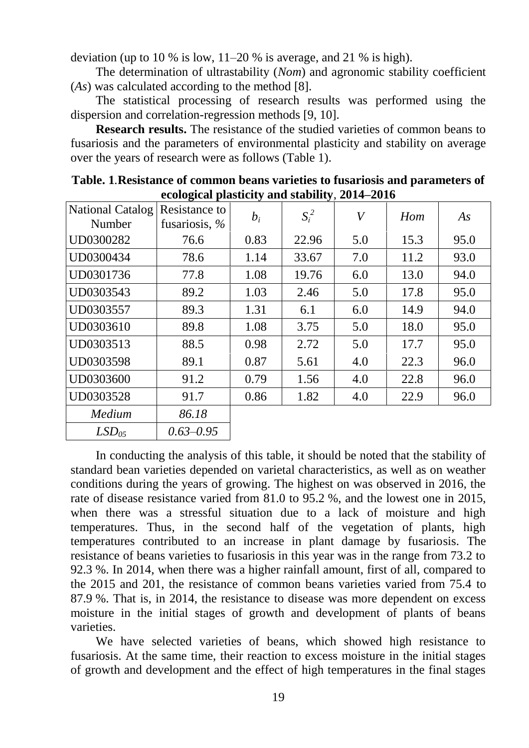deviation (up to 10 % is low, 11–20 % is average, and 21 % is high).

The determination of ultrastability (*Nom*) and agronomic stability coefficient (*As*) was calculated according to the method [8].

The statistical processing of research results was performed using the dispersion and correlation-regression methods [9, 10].

**Research results.** The resistance of the studied varieties of common beans to fusariosis and the parameters of environmental plasticity and stability on average over the years of research were as follows (Table 1).

| <b>National Catalog</b><br>Number | Resistance to<br>fusariosis, $%$ | $b_i$ | $S_i^2$ | V   | Hom  | As   |
|-----------------------------------|----------------------------------|-------|---------|-----|------|------|
| UD0300282                         | 76.6                             | 0.83  | 22.96   | 5.0 | 15.3 | 95.0 |
| UD0300434                         | 78.6                             | 1.14  | 33.67   | 7.0 | 11.2 | 93.0 |
| UD0301736                         | 77.8                             | 1.08  | 19.76   | 6.0 | 13.0 | 94.0 |
| UD0303543                         | 89.2                             | 1.03  | 2.46    | 5.0 | 17.8 | 95.0 |
| UD0303557                         | 89.3                             | 1.31  | 6.1     | 6.0 | 14.9 | 94.0 |
| UD0303610                         | 89.8                             | 1.08  | 3.75    | 5.0 | 18.0 | 95.0 |
| UD0303513                         | 88.5                             | 0.98  | 2.72    | 5.0 | 17.7 | 95.0 |
| UD0303598                         | 89.1                             | 0.87  | 5.61    | 4.0 | 22.3 | 96.0 |
| UD0303600                         | 91.2                             | 0.79  | 1.56    | 4.0 | 22.8 | 96.0 |
| UD0303528                         | 91.7                             | 0.86  | 1.82    | 4.0 | 22.9 | 96.0 |
| Medium                            | 86.18                            |       |         |     |      |      |
| LSD <sub>05</sub>                 | $0.63 - 0.95$                    |       |         |     |      |      |

**Table. 1***.***Resistance of common beans varieties to fusariosis and parameters of ecological plasticity and stability***,* **2014–2016**

In conducting the analysis of this table, it should be noted that the stability of standard bean varieties depended on varietal characteristics, as well as on weather conditions during the years of growing. The highest on was observed in 2016, the rate of disease resistance varied from 81.0 to 95.2 %, and the lowest one in 2015, when there was a stressful situation due to a lack of moisture and high temperatures. Thus, in the second half of the vegetation of plants, high temperatures contributed to an increase in plant damage by fusariosis. The resistance of beans varieties to fusariosis in this year was in the range from 73.2 to 92.3 %. In 2014, when there was a higher rainfall amount, first of all, compared to the 2015 and 201, the resistance of common beans varieties varied from 75.4 to 87.9 %. That is, in 2014, the resistance to disease was more dependent on excess moisture in the initial stages of growth and development of plants of beans varieties.

We have selected varieties of beans, which showed high resistance to fusariosis. At the same time, their reaction to excess moisture in the initial stages of growth and development and the effect of high temperatures in the final stages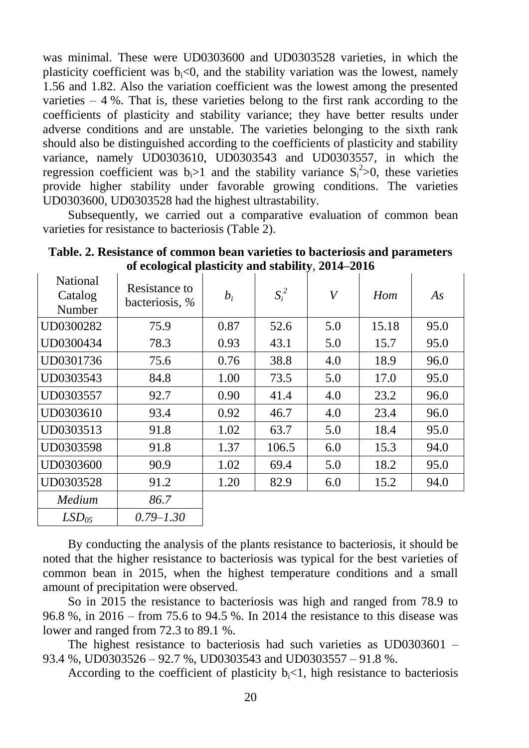was minimal. These were UD0303600 and UD0303528 varieties, in which the plasticity coefficient was  $b_i<0$ , and the stability variation was the lowest, namely 1.56 and 1.82. Also the variation coefficient was the lowest among the presented varieties  $-4\%$ . That is, these varieties belong to the first rank according to the coefficients of plasticity and stability variance; they have better results under adverse conditions and are unstable. The varieties belonging to the sixth rank should also be distinguished according to the coefficients of plasticity and stability variance, namely UD0303610, UD0303543 and UD0303557, in which the regression coefficient was  $b_i > 1$  and the stability variance  $S_i^2 > 0$ , these varieties provide higher stability under favorable growing conditions. The varieties UD0303600, UD0303528 had the highest ultrastability.

Subsequently, we carried out a comparative evaluation of common bean varieties for resistance to bacteriosis (Table 2).

| <b>National</b><br>Catalog<br>Number | Resistance to<br>bacteriosis, % | $b_i$ | $S_i^2$ | $\boldsymbol{V}$ | Hom   | As   |
|--------------------------------------|---------------------------------|-------|---------|------------------|-------|------|
| UD0300282                            | 75.9                            | 0.87  | 52.6    | 5.0              | 15.18 | 95.0 |
| UD0300434                            | 78.3                            | 0.93  | 43.1    | 5.0              | 15.7  | 95.0 |
| UD0301736                            | 75.6                            | 0.76  | 38.8    | 4.0              | 18.9  | 96.0 |
| UD0303543                            | 84.8                            | 1.00  | 73.5    | 5.0              | 17.0  | 95.0 |
| UD0303557                            | 92.7                            | 0.90  | 41.4    | 4.0              | 23.2  | 96.0 |
| UD0303610                            | 93.4                            | 0.92  | 46.7    | 4.0              | 23.4  | 96.0 |
| UD0303513                            | 91.8                            | 1.02  | 63.7    | 5.0              | 18.4  | 95.0 |
| UD0303598                            | 91.8                            | 1.37  | 106.5   | 6.0              | 15.3  | 94.0 |
| UD0303600                            | 90.9                            | 1.02  | 69.4    | 5.0              | 18.2  | 95.0 |
| UD0303528                            | 91.2                            | 1.20  | 82.9    | 6.0              | 15.2  | 94.0 |
| Medium                               | 86.7                            |       |         |                  |       |      |
| LSD <sub>05</sub>                    | $0.79 - 1.30$                   |       |         |                  |       |      |

**Table. 2. Resistance of common bean varieties to bacteriosis and parameters of ecological plasticity and stability**, **2014–2016**

By conducting the analysis of the plants resistance to bacteriosis, it should be noted that the higher resistance to bacteriosis was typical for the best varieties of common bean in 2015, when the highest temperature conditions and a small amount of precipitation were observed.

So in 2015 the resistance to bacteriosis was high and ranged from 78.9 to 96.8 %, in 2016 – from 75.6 to 94.5 %. In 2014 the resistance to this disease was lower and ranged from 72.3 to 89.1 %.

The highest resistance to bacteriosis had such varieties as UD0303601 – 93.4 %, UD0303526 – 92.7 %, UD0303543 and UD0303557 – 91.8 %.

According to the coefficient of plasticity  $b<sub>i</sub> < 1$ , high resistance to bacteriosis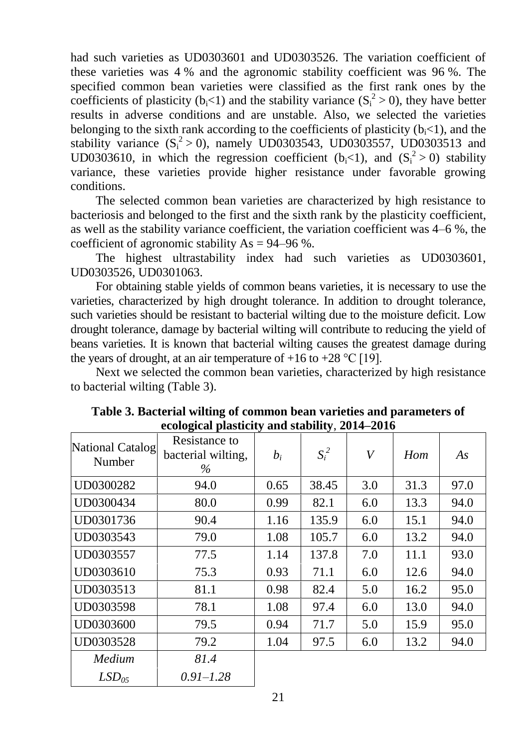had such varieties as UD0303601 and UD0303526. The variation coefficient of these varieties was 4 % and the agronomic stability coefficient was 96 %. The specified common bean varieties were classified as the first rank ones by the coefficients of plasticity ( $b_i$ <1) and the stability variance ( $S_i^2 > 0$ ), they have better results in adverse conditions and are unstable. Also, we selected the varieties belonging to the sixth rank according to the coefficients of plasticity  $(b<sub>i</sub><1)$ , and the stability variance  $(S_i^2 > 0)$ , namely UD0303543, UD0303557, UD0303513 and UD0303610, in which the regression coefficient  $(b<sub>i</sub><1)$ , and  $(S<sub>i</sub><sup>2</sup> > 0)$  stability variance, these varieties provide higher resistance under favorable growing conditions.

The selected common bean varieties are characterized by high resistance to bacteriosis and belonged to the first and the sixth rank by the plasticity coefficient, as well as the stability variance coefficient, the variation coefficient was 4–6 %, the coefficient of agronomic stability  $As = 94-96$  %.

The highest ultrastability index had such varieties as UD0303601, UD0303526, UD0301063.

For obtaining stable yields of common beans varieties, it is necessary to use the varieties, characterized by high drought tolerance. In addition to drought tolerance, such varieties should be resistant to bacterial wilting due to the moisture deficit. Low drought tolerance, damage by bacterial wilting will contribute to reducing the yield of beans varieties. It is known that bacterial wilting causes the greatest damage during the years of drought, at an air temperature of  $+16$  to  $+28$  °C [19].

Next we selected the common bean varieties, characterized by high resistance to bacterial wilting (Table 3).

|                            | ccological plasticity and stability, 2014–2010 |       |         |     |      |      |
|----------------------------|------------------------------------------------|-------|---------|-----|------|------|
| National Catalog<br>Number | Resistance to<br>bacterial wilting,<br>$\%$    | $b_i$ | $S_i^2$ | V   | Hom  | As   |
| UD0300282                  | 94.0                                           | 0.65  | 38.45   | 3.0 | 31.3 | 97.0 |
| UD0300434                  | 80.0                                           | 0.99  | 82.1    | 6.0 | 13.3 | 94.0 |
| UD0301736                  | 90.4                                           | 1.16  | 135.9   | 6.0 | 15.1 | 94.0 |
| UD0303543                  | 79.0                                           | 1.08  | 105.7   | 6.0 | 13.2 | 94.0 |
| UD0303557                  | 77.5                                           | 1.14  | 137.8   | 7.0 | 11.1 | 93.0 |
| UD0303610                  | 75.3                                           | 0.93  | 71.1    | 6.0 | 12.6 | 94.0 |
| UD0303513                  | 81.1                                           | 0.98  | 82.4    | 5.0 | 16.2 | 95.0 |
| UD0303598                  | 78.1                                           | 1.08  | 97.4    | 6.0 | 13.0 | 94.0 |
| UD0303600                  | 79.5                                           | 0.94  | 71.7    | 5.0 | 15.9 | 95.0 |
| UD0303528                  | 79.2                                           | 1.04  | 97.5    | 6.0 | 13.2 | 94.0 |
| Medium                     | 81.4                                           |       |         |     |      |      |
| LSD <sub>05</sub>          | $0.91 - 1.28$                                  |       |         |     |      |      |

**Table 3. Bacterial wilting of common bean varieties and parameters of ecological plasticity and stability**, **2014–2016**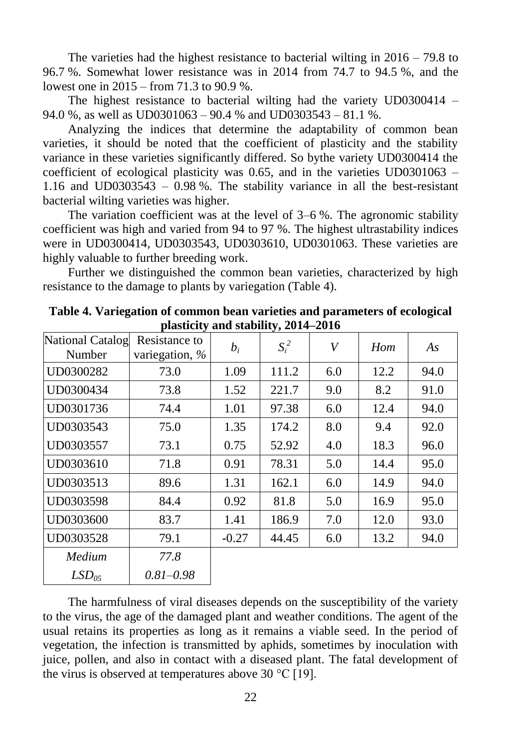The varieties had the highest resistance to bacterial wilting in 2016 – 79.8 to 96.7 %. Somewhat lower resistance was in 2014 from 74.7 to 94.5 %, and the lowest one in 2015 – from 71.3 to 90.9 %.

The highest resistance to bacterial wilting had the variety UD0300414 – 94.0 %, as well as UD0301063 – 90.4 % and UD0303543 – 81.1 %.

Analyzing the indices that determine the adaptability of common bean varieties, it should be noted that the coefficient of plasticity and the stability variance in these varieties significantly differed. So bythe variety UD0300414 the coefficient of ecological plasticity was 0.65, and in the varieties UD0301063 – 1.16 and UD0303543 – 0.98 %. The stability variance in all the best-resistant bacterial wilting varieties was higher.

The variation coefficient was at the level of 3–6 %. The agronomic stability coefficient was high and varied from 94 to 97 %. The highest ultrastability indices were in UD0300414, UD0303543, UD0303610, UD0301063. These varieties are highly valuable to further breeding work.

Further we distinguished the common bean varieties, characterized by high resistance to the damage to plants by variegation (Table 4).

| National Catalog<br>Number | Resistance to<br>variegation, $\%$ | $b_i$   | $S_i^2$ | $\boldsymbol{V}$ | Hom  | As   |
|----------------------------|------------------------------------|---------|---------|------------------|------|------|
| UD0300282                  | 73.0                               | 1.09    | 111.2   | 6.0              | 12.2 | 94.0 |
| UD0300434                  | 73.8                               | 1.52    | 221.7   | 9.0              | 8.2  | 91.0 |
| UD0301736                  | 74.4                               | 1.01    | 97.38   | 6.0              | 12.4 | 94.0 |
| UD0303543                  | 75.0                               | 1.35    | 174.2   | 8.0              | 9.4  | 92.0 |
| UD0303557                  | 73.1                               | 0.75    | 52.92   | 4.0              | 18.3 | 96.0 |
| UD0303610                  | 71.8                               | 0.91    | 78.31   | 5.0              | 14.4 | 95.0 |
| UD0303513                  | 89.6                               | 1.31    | 162.1   | 6.0              | 14.9 | 94.0 |
| UD0303598                  | 84.4                               | 0.92    | 81.8    | 5.0              | 16.9 | 95.0 |
| UD0303600                  | 83.7                               | 1.41    | 186.9   | 7.0              | 12.0 | 93.0 |
| UD0303528                  | 79.1                               | $-0.27$ | 44.45   | 6.0              | 13.2 | 94.0 |
| Medium                     | 77.8                               |         |         |                  |      |      |
| LSD <sub>05</sub>          | $0.81 - 0.98$                      |         |         |                  |      |      |

**Table 4. Variegation of common bean varieties and parameters of ecological plasticity and stability, 2014–2016**

The harmfulness of viral diseases depends on the susceptibility of the variety to the virus, the age of the damaged plant and weather conditions. The agent of the usual retains its properties as long as it remains a viable seed. In the period of vegetation, the infection is transmitted by aphids, sometimes by inoculation with juice, pollen, and also in contact with a diseased plant. The fatal development of the virus is observed at temperatures above 30  $^{\circ}$ C [19].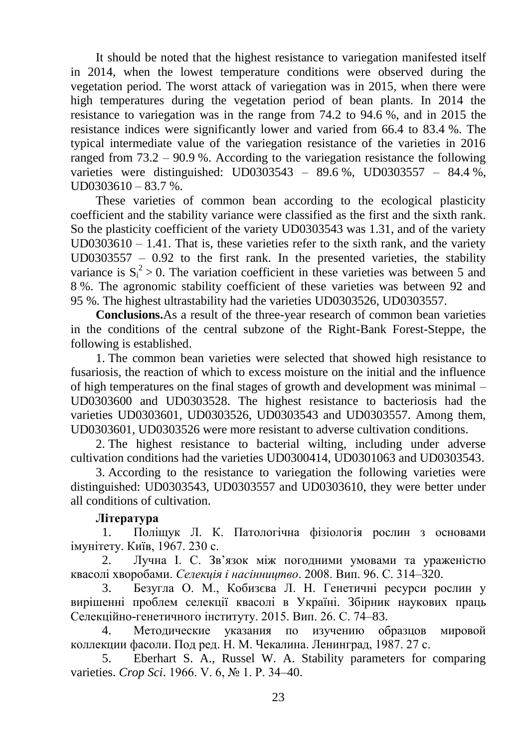It should be noted that the highest resistance to variegation manifested itself in 2014, when the lowest temperature conditions were observed during the vegetation period. The worst attack of variegation was in 2015, when there were high temperatures during the vegetation period of bean plants. In 2014 the resistance to variegation was in the range from 74.2 to 94.6 %, and in 2015 the resistance indices were significantly lower and varied from 66.4 to 83.4 %. The typical intermediate value of the variegation resistance of the varieties in 2016 ranged from 73.2 – 90.9 %. According to the variegation resistance the following varieties were distinguished: UD0303543 – 89.6 %, UD0303557 – 84.4 %,  $UD0303610 - 83.7$  %.

These varieties of common bean according to the ecological plasticity coefficient and the stability variance were classified as the first and the sixth rank. So the plasticity coefficient of the variety UD0303543 was 1.31, and of the variety  $UD0303610 - 1.41$ . That is, these varieties refer to the sixth rank, and the variety UD0303557 – 0.92 to the first rank. In the presented varieties, the stability variance is  $S_i^2 > 0$ . The variation coefficient in these varieties was between 5 and 8 %. The agronomic stability coefficient of these varieties was between 92 and 95 %. The highest ultrastability had the varieties UD0303526, UD0303557.

**Conclusions.**As a result of the three-year research of common bean varieties in the conditions of the central subzone of the Right-Bank Forest-Steppe, the following is established.

1. The common bean varieties were selected that showed high resistance to fusariosis, the reaction of which to excess moisture on the initial and the influence of high temperatures on the final stages of growth and development was minimal – UD0303600 and UD0303528. The highest resistance to bacteriosis had the varieties UD0303601, UD0303526, UD0303543 and UD0303557. Among them, UD0303601, UD0303526 were more resistant to adverse cultivation conditions.

2. The highest resistance to bacterial wilting, including under adverse cultivation conditions had the varieties UD0300414, UD0301063 and UD0303543.

3. According to the resistance to variegation the following varieties were distinguished: UD0303543, UD0303557 and UD0303610, they were better under all conditions of cultivation.

### **Література**

1. Поліщук Л. К. Патологічна фізіологія рослин з основами імунітету. Київ, 1967. 230 с.

2. Лучна І. С. Зв'язок між погодними умовами та ураженістю квасолі хворобами. *Селекція і насінництво*. 2008. Вип. 96. С. 314–320.

3. Безугла О. М., Кобизєва Л. Н. Генетичні ресурси рослин у вирішенні проблем селекції квасолі в Україні. Збірник наукових праць Селекційно-генетичного інституту. 2015. Вип. 26. С. 74–83.

4. Методические указания по изучению образцов мировой коллекции фасоли. Под ред. Н. М. Чекалина. Ленинград, 1987. 27 с.

5. Eberhart S. A., Russel W. A. Stability parameters for comparing varieties. *Crop Sci*. 1966. V. 6, № 1. Р. 34–40.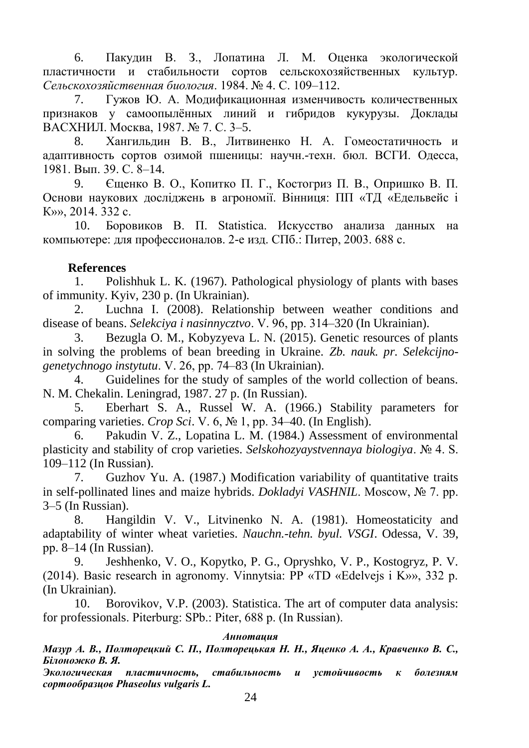6. Пакудин В. З., Лопатина Л. М. Оценка экологической пластичности и стабильности сортов сельскохозяйственных культур. *Сельскохозяйственная биология*. 1984. № 4. С. 109–112.

7. Гужов Ю. А. Модификационная изменчивость количественных признаков у самоопылённых линий и гибридов кукурузы. Доклады ВАСХНИЛ. Москва, 1987. № 7. С. 3–5.

8. Хангильдин В. В., Литвиненко Н. А. Гомеостатичность и адаптивность сортов озимой пшеницы: научн.-техн. бюл. ВСГИ. Одесса, 1981. Вып. 39. С. 8–14.

9. Єщенко В. О., Копитко П. Г., Костогриз П. В., Опришко В. П. Основи наукових досліджень в агрономії. Вінниця: ПП «ТД «Едельвейс і К»», 2014. 332 с.

10. Боровиков В. П. Statistica. Искусство анализа данных на компьютере: для профессионалов. 2-е изд. СПб.: Питер, 2003. 688 с.

### **References**

1. Polishhuk L. K. (1967). Pathological physiology of plants with bases of immunity. Kyiv, 230 p. (In Ukrainian).

2. Luchna I. (2008). Relationship between weather conditions and disease of beans. *Selekciya i nasinnycztvo*. V. 96, рр. 314–320 (In Ukrainian).

3. Bezugla O. M., Kobyzyeva L. N. (2015). Genetic resources of plants in solving the problems of bean breeding in Ukraine. *Zb. nauk. pr. Selekcijnogenetychnogo instytutu*. V. 26, рр. 74–83 (In Ukrainian).

4. Guidelines for the study of samples of the world collection of beans. N. M. Chekalin. Leningrad, 1987. 27 p. (In Russian).

5. Eberhart S. A., Russel W. A. (1966.) Stability parameters for comparing varieties. *Crop Sci*. V. 6, № 1, рр. 34–40. (In English).

6. Pakudin V. Z., Lopatina L. M. (1984.) Assessment of environmental plasticity and stability of crop varieties. *Selskohozyaystvennaya biologiya*. № 4. S. 109–112 (In Russian).

7. Guzhov Yu. A. (1987.) Modification variability of quantitative traits in self-pollinated lines and maize hybrids. *Dokladyi VASHNIL*. Moscow, № 7. рр. 3–5 (In Russian).

8. Hangildin V. V., Litvinenko N. A. (1981). Homeostaticity and adaptability of winter wheat varieties. *Nauchn.-tehn. byul. VSGI*. Odessa, V. 39, рр. 8–14 (In Russian).

9. Jeshhenko, V. O., Kopytko, P. G., Opryshko, V. P., Kostogryz, P. V. (2014). Basic research in agronomy. Vinnytsia: PP «TD «Edelvejs i K»», 332 p. (In Ukrainian).

10. Borovikov, V.P. (2003). Statistica. The art of computer data analysis: for professionals. Piterburg: SPb.: Piter, 688 p. (In Russian).

### *Аннотация*

*Мазур А. В., Полторецкий С. П., Полторецькая Н. Н., Яценко А. А., Кравченко В. С., Білоножко В. Я.*

*Экологическая пластичность, стабильность и устойчивость к болезням сортообразцов Phaseolus vulgaris L.*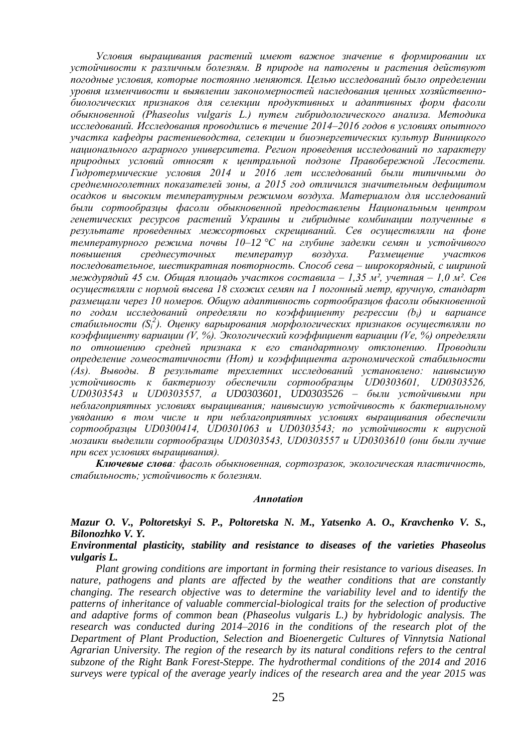*Условия выращивания растений имеют важное значение в формировании их устойчивости к различным болезням. В природе на патогены и растения действуют погодные условия, которые постоянно меняются. Целью исследований было определении уровня изменчивости и выявлении закономерностей наследования ценных хозяйственнобиологических признаков для селекции продуктивных и адаптивных форм фасоли обыкновенной (Phaseolus vulgaris L.) путем гибридологического анализа. Методика исследований. Исследования проводились в течение 2014–2016 годов в условиях опытного участка кафедры растениеводства, селекции и биоэнергетических культур Винницкого национального аграрного университета. Регион проведения исследований по характеру природных условий относят к центральной подзоне Правобережной Лесостепи. Гидротермические условия 2014 и 2016 лет исследований были типичными до среднемноголетних показателей зоны, а 2015 год отличился значительным дефицитом осадков и высоким температурным режимом воздуха. Материалом для исследований были сортообразцы фасоли обыкновенной предоставлены Национальным центром генетических ресурсов растений Украины и гибридные комбинации полученные в результате проведенных межсортовых скрещиваний. Сев осуществляли на фоне температурного режима почвы 10–12 °С на глубине заделки семян и устойчивого повышения среднесуточных температур воздуха. Размещение участков последовательное, шестикратная повторность. Способ сева – широкорядный, с шириной междурядий 45 см. Общая площадь участков составила – 1,35 м², учетная – 1,0 м². Сев осуществляли с нормой высева 18 схожих семян на 1 погонный метр, вручную, стандарт размещали через 10 номеров. Общую адаптивность сортообразцов фасоли обыкновенной по годам исследований определяли по коэффициенту регрессии (bi) и вариансе стабильности (S<sup>і</sup> 2 ). Оценку варьирования морфологических признаков осуществляли по коэффициенту вариации (V, %). Экологический коэффициент вариации (Vе, %) определяли по отношению средней признака к его стандартному отклонению. Проводили определение гомеостатичности (Нom) и коэффициента агрономической стабильности (As). Выводы. В результате трехлетних исследований установлено: наивысшую устойчивость к бактериозу обеспечили сортообразцы UD0303601, UD0303526, UD0303543 и UD0303557, а UD0303601, UD0303526 – были устойчивыми при неблагоприятных условиях выращивания; наивысшую устойчивость к бактериальному увяданию в том числе и при неблагоприятных условиях выращивания обеспечили сортообразцы UD0300414, UD0301063 и UD0303543; по устойчивости к вирусной мозаики выделили сортообразцы UD0303543, UD0303557 и UD0303610 (они были лучше при всех условиях выращивания).*

*Ключевые слова: фасоль обыкновенная, сортозразок, экологическая пластичность, стабильность; устойчивость к болезням.*

#### *Annotatiоn*

*Mazur O. V., Poltoretskyi S. P., Poltoretska N. M., Yatsenko A. O., Kravchenko V. S., Bilonozhko V. Y.*

*Environmental plasticity, stability and resistance to diseases of the varieties Phaseolus vulgaris L.*

*Plant growing conditions are important in forming their resistance to various diseases. In nature, pathogens and plants are affected by the weather conditions that are constantly changing. The research objective was to determine the variability level and to identify the patterns of inheritance of valuable commercial-biological traits for the selection of productive and adaptive forms of common bean (Phaseolus vulgaris L.) by hybridologic analysis. The*  research was conducted during 2014–2016 in the conditions of the research plot of the *Department of Plant Production, Selection and Bioenergetic Cultures of Vinnytsia National Agrarian University. The region of the research by its natural conditions refers to the central subzone of the Right Bank Forest-Steppe. The hydrothermal conditions of the 2014 and 2016 surveys were typical of the average yearly indices of the research area and the year 2015 was*